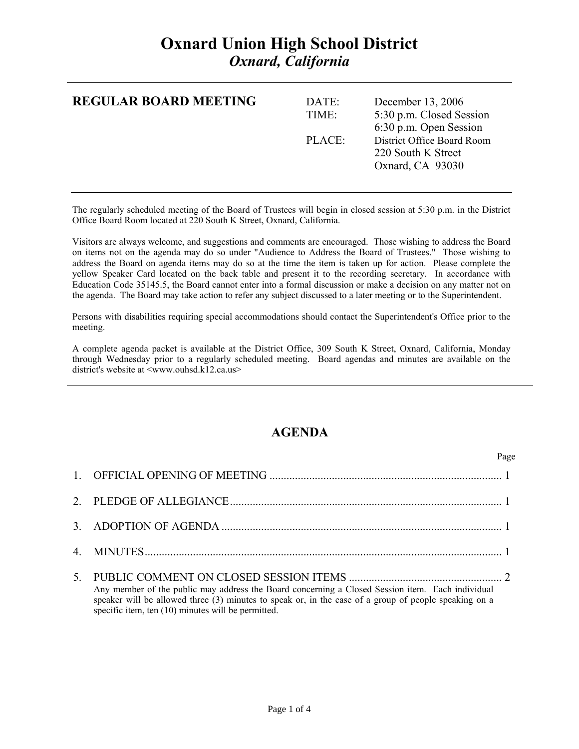## **Oxnard Union High School District**  *Oxnard, California*

| <b>REGULAR BOARD MEETING</b> | DATE:<br>TIME: | December 13, 2006<br>5:30 p.m. Closed Session<br>6:30 p.m. Open Session |
|------------------------------|----------------|-------------------------------------------------------------------------|
|                              | PLACE          | District Office Board Room<br>220 South K Street<br>Oxnard, CA 93030    |

The regularly scheduled meeting of the Board of Trustees will begin in closed session at 5:30 p.m. in the District Office Board Room located at 220 South K Street, Oxnard, California.

Visitors are always welcome, and suggestions and comments are encouraged. Those wishing to address the Board on items not on the agenda may do so under "Audience to Address the Board of Trustees." Those wishing to address the Board on agenda items may do so at the time the item is taken up for action. Please complete the yellow Speaker Card located on the back table and present it to the recording secretary. In accordance with Education Code 35145.5, the Board cannot enter into a formal discussion or make a decision on any matter not on the agenda. The Board may take action to refer any subject discussed to a later meeting or to the Superintendent.

Persons with disabilities requiring special accommodations should contact the Superintendent's Office prior to the meeting.

A complete agenda packet is available at the District Office, 309 South K Street, Oxnard, California, Monday through Wednesday prior to a regularly scheduled meeting. Board agendas and minutes are available on the district's website at <www.ouhsd.k12.ca.us>

## **AGENDA**

Page **Page** 

| Any member of the public may address the Board concerning a Closed Session item. Each individual<br>speaker will be allowed three (3) minutes to speak or, in the case of a group of people speaking on a<br>specific item, ten (10) minutes will be permitted. |
|-----------------------------------------------------------------------------------------------------------------------------------------------------------------------------------------------------------------------------------------------------------------|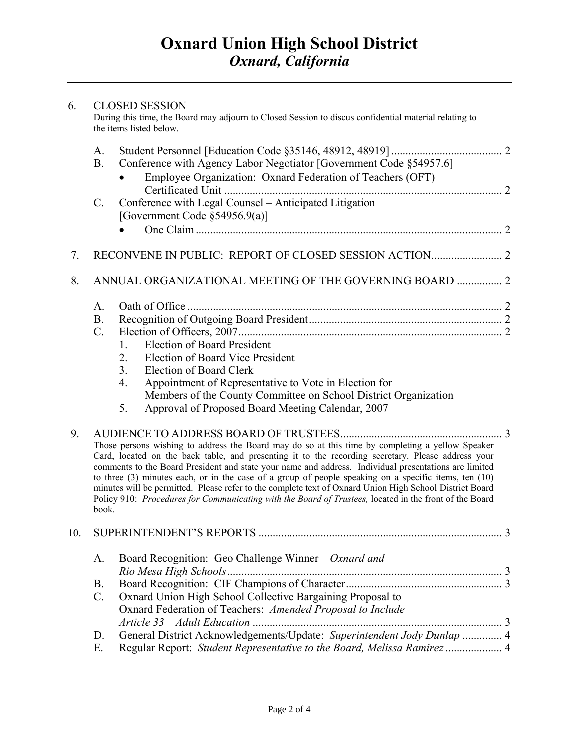| 6.  |                 | <b>CLOSED SESSION</b><br>During this time, the Board may adjourn to Closed Session to discus confidential material relating to<br>the items listed below.                                                                                                                                                                                                                                                                                                                                                                                                                                                                                     |  |
|-----|-----------------|-----------------------------------------------------------------------------------------------------------------------------------------------------------------------------------------------------------------------------------------------------------------------------------------------------------------------------------------------------------------------------------------------------------------------------------------------------------------------------------------------------------------------------------------------------------------------------------------------------------------------------------------------|--|
|     | A.              |                                                                                                                                                                                                                                                                                                                                                                                                                                                                                                                                                                                                                                               |  |
|     | <b>B.</b>       | Conference with Agency Labor Negotiator [Government Code §54957.6]                                                                                                                                                                                                                                                                                                                                                                                                                                                                                                                                                                            |  |
|     |                 | Employee Organization: Oxnard Federation of Teachers (OFT)                                                                                                                                                                                                                                                                                                                                                                                                                                                                                                                                                                                    |  |
|     | $\mathcal{C}$ . | Conference with Legal Counsel - Anticipated Litigation                                                                                                                                                                                                                                                                                                                                                                                                                                                                                                                                                                                        |  |
|     |                 | [Government Code §54956.9(a)]                                                                                                                                                                                                                                                                                                                                                                                                                                                                                                                                                                                                                 |  |
|     |                 |                                                                                                                                                                                                                                                                                                                                                                                                                                                                                                                                                                                                                                               |  |
| 7.  |                 |                                                                                                                                                                                                                                                                                                                                                                                                                                                                                                                                                                                                                                               |  |
| 8.  |                 | ANNUAL ORGANIZATIONAL MEETING OF THE GOVERNING BOARD  2                                                                                                                                                                                                                                                                                                                                                                                                                                                                                                                                                                                       |  |
|     | A.              |                                                                                                                                                                                                                                                                                                                                                                                                                                                                                                                                                                                                                                               |  |
|     | <b>B.</b>       |                                                                                                                                                                                                                                                                                                                                                                                                                                                                                                                                                                                                                                               |  |
|     | $C_{\cdot}$     |                                                                                                                                                                                                                                                                                                                                                                                                                                                                                                                                                                                                                                               |  |
|     |                 | <b>Election of Board President</b><br>1.                                                                                                                                                                                                                                                                                                                                                                                                                                                                                                                                                                                                      |  |
|     |                 | <b>Election of Board Vice President</b><br>2.                                                                                                                                                                                                                                                                                                                                                                                                                                                                                                                                                                                                 |  |
|     |                 | 3 <sub>1</sub><br><b>Election of Board Clerk</b>                                                                                                                                                                                                                                                                                                                                                                                                                                                                                                                                                                                              |  |
|     |                 | Appointment of Representative to Vote in Election for<br>4.                                                                                                                                                                                                                                                                                                                                                                                                                                                                                                                                                                                   |  |
|     |                 | Members of the County Committee on School District Organization                                                                                                                                                                                                                                                                                                                                                                                                                                                                                                                                                                               |  |
|     |                 | Approval of Proposed Board Meeting Calendar, 2007<br>5.                                                                                                                                                                                                                                                                                                                                                                                                                                                                                                                                                                                       |  |
| 9.  |                 |                                                                                                                                                                                                                                                                                                                                                                                                                                                                                                                                                                                                                                               |  |
|     | book.           | Those persons wishing to address the Board may do so at this time by completing a yellow Speaker<br>Card, located on the back table, and presenting it to the recording secretary. Please address your<br>comments to the Board President and state your name and address. Individual presentations are limited<br>to three (3) minutes each, or in the case of a group of people speaking on a specific items, ten (10)<br>minutes will be permitted. Please refer to the complete text of Oxnard Union High School District Board<br>Policy 910: Procedures for Communicating with the Board of Trustees, located in the front of the Board |  |
| 10. |                 |                                                                                                                                                                                                                                                                                                                                                                                                                                                                                                                                                                                                                                               |  |
|     | A.              | Board Recognition: Geo Challenge Winner - Oxnard and                                                                                                                                                                                                                                                                                                                                                                                                                                                                                                                                                                                          |  |
|     |                 |                                                                                                                                                                                                                                                                                                                                                                                                                                                                                                                                                                                                                                               |  |
|     | <b>B.</b>       |                                                                                                                                                                                                                                                                                                                                                                                                                                                                                                                                                                                                                                               |  |
|     | $C$ .           | Oxnard Union High School Collective Bargaining Proposal to                                                                                                                                                                                                                                                                                                                                                                                                                                                                                                                                                                                    |  |
|     |                 | Oxnard Federation of Teachers: Amended Proposal to Include                                                                                                                                                                                                                                                                                                                                                                                                                                                                                                                                                                                    |  |
|     | D.              | General District Acknowledgements/Update: Superintendent Jody Dunlap  4                                                                                                                                                                                                                                                                                                                                                                                                                                                                                                                                                                       |  |
|     | Ε.              | Regular Report: Student Representative to the Board, Melissa Ramirez  4                                                                                                                                                                                                                                                                                                                                                                                                                                                                                                                                                                       |  |
|     |                 |                                                                                                                                                                                                                                                                                                                                                                                                                                                                                                                                                                                                                                               |  |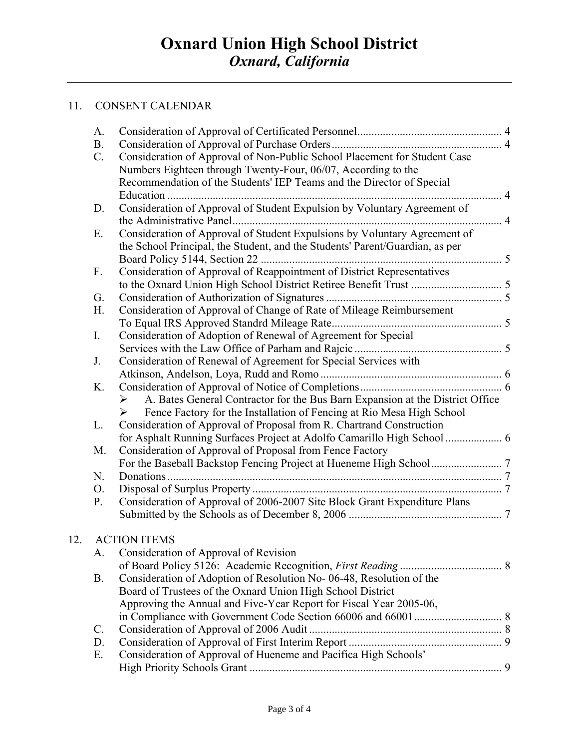## 11. CONSENT CALENDAR

 $12.$ 

| A.              |                                                                                                        |  |
|-----------------|--------------------------------------------------------------------------------------------------------|--|
| <b>B.</b>       |                                                                                                        |  |
| $C$ .           | Consideration of Approval of Non-Public School Placement for Student Case                              |  |
|                 | Numbers Eighteen through Twenty-Four, 06/07, According to the                                          |  |
|                 | Recommendation of the Students' IEP Teams and the Director of Special                                  |  |
|                 |                                                                                                        |  |
| D.              | Consideration of Approval of Student Expulsion by Voluntary Agreement of                               |  |
|                 | . 4                                                                                                    |  |
| Е.              | Consideration of Approval of Student Expulsions by Voluntary Agreement of                              |  |
|                 | the School Principal, the Student, and the Students' Parent/Guardian, as per                           |  |
|                 |                                                                                                        |  |
| $F_{\cdot}$     | Consideration of Approval of Reappointment of District Representatives                                 |  |
|                 |                                                                                                        |  |
| G.              |                                                                                                        |  |
| H.              | Consideration of Approval of Change of Rate of Mileage Reimbursement                                   |  |
|                 |                                                                                                        |  |
| I.              | Consideration of Adoption of Renewal of Agreement for Special                                          |  |
|                 |                                                                                                        |  |
| J.              | Consideration of Renewal of Agreement for Special Services with                                        |  |
|                 |                                                                                                        |  |
| K.              |                                                                                                        |  |
|                 | A. Bates General Contractor for the Bus Barn Expansion at the District Office<br>$\blacktriangleright$ |  |
|                 | Fence Factory for the Installation of Fencing at Rio Mesa High School<br>$\triangleright$              |  |
| L.              | Consideration of Approval of Proposal from R. Chartrand Construction                                   |  |
|                 | for Asphalt Running Surfaces Project at Adolfo Camarillo High School  6                                |  |
| M.              | Consideration of Approval of Proposal from Fence Factory                                               |  |
|                 |                                                                                                        |  |
| N.              |                                                                                                        |  |
| O.              |                                                                                                        |  |
| P.              | Consideration of Approval of 2006-2007 Site Block Grant Expenditure Plans                              |  |
|                 |                                                                                                        |  |
|                 |                                                                                                        |  |
|                 | <b>ACTION ITEMS</b>                                                                                    |  |
| A.              | Consideration of Approval of Revision                                                                  |  |
| <b>B.</b>       | Consideration of Adoption of Resolution No-06-48, Resolution of the                                    |  |
|                 | Board of Trustees of the Oxnard Union High School District                                             |  |
|                 | Approving the Annual and Five-Year Report for Fiscal Year 2005-06,                                     |  |
|                 |                                                                                                        |  |
| $\mathcal{C}$ . |                                                                                                        |  |
| D.              |                                                                                                        |  |
| Ε.              | Consideration of Approval of Hueneme and Pacifica High Schools'                                        |  |
|                 |                                                                                                        |  |
|                 |                                                                                                        |  |